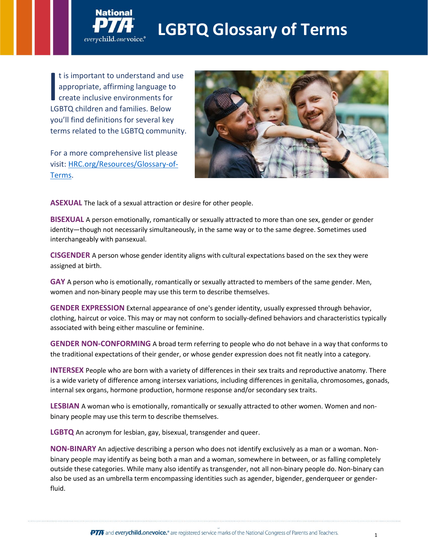## **LGBTQ Glossary of Terms**

t is important to understand and use appropriate, affirming language to create inclusive environments for I is important to understand and appropriate, affirming language to<br>create inclusive environments for<br>LGBTQ children and families. Below you'll find definitions for several key terms related to the LGBTQ community.

everychild.onevoice.

For a more comprehensive list please visit: [HRC.org/Resources/Glossary-of-](http://www.hrc.org/resources/glossary-of-terms)[Terms.](http://www.hrc.org/resources/glossary-of-terms)



**ASEXUAL** The lack of a sexual attraction or desire for other people.

**BISEXUAL** A person emotionally, romantically or sexually attracted to more than one sex, gender or gender identity—though not necessarily simultaneously, in the same way or to the same degree. Sometimes used interchangeably with pansexual.

**CISGENDER** A person whose gender identity aligns with cultural expectations based on the sex they were assigned at birth.

**GAY** A person who is emotionally, romantically or sexually attracted to members of the same gender. Men, women and non-binary people may use this term to describe themselves.

**GENDER EXPRESSION** External appearance of one's gender identity, usually expressed through behavior, clothing, haircut or voice. This may or may not conform to socially-defined behaviors and characteristics typically associated with being either masculine or feminine.

**GENDER NON-CONFORMING** A broad term referring to people who do not behave in a way that conforms to the traditional expectations of their gender, or whose gender expression does not fit neatly into a category.

**INTERSEX** People who are born with a variety of differences in their sex traits and reproductive anatomy. There is a wide variety of difference among intersex variations, including differences in genitalia, chromosomes, gonads, internal sex organs, hormone production, hormone response and/or secondary sex traits.

**LESBIAN** A woman who is emotionally, romantically or sexually attracted to other women. Women and nonbinary people may use this term to describe themselves.

**LGBTQ** An acronym for lesbian, gay, bisexual, transgender and queer.

**NON-BINARY** An adjective describing a person who does not identify exclusively as a man or a woman. Nonbinary people may identify as being both a man and a woman, somewhere in between, or as falling completely outside these categories. While many also identify as transgender, not all non-binary people do. Non-binary can also be used as an umbrella term encompassing identities such as agender, bigender, genderqueer or genderfluid.